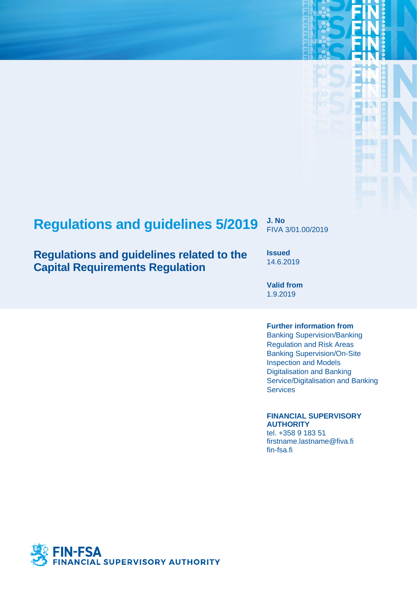# **Regulations and guidelines 5/2019 J. No**

## **Regulations and guidelines related to the Capital Requirements Regulation**

FIVA 3/01.00/2019

Т. U.

**Issued** 14.6.2019

**Valid from** 1.9.2019

### **Further information from**

Banking Supervision/Banking Regulation and Risk Areas Banking Supervision/On-Site Inspection and Models Digitalisation and Banking Service/Digitalisation and Banking **Services** 

### **FINANCIAL SUPERVISORY AUTHORITY**

tel. +358 9 183 51 firstname.lastname@fiva.fi fin-fsa.fi

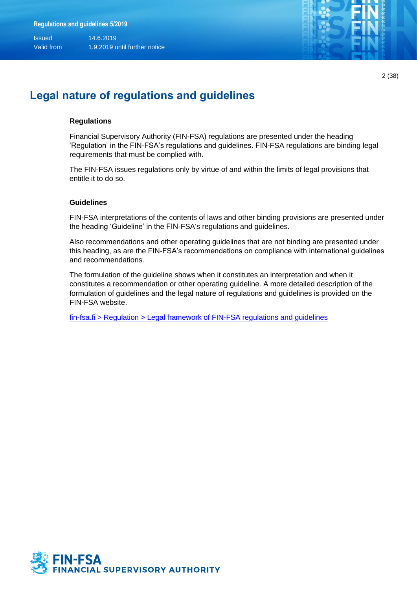

2 (38)

## **Legal nature of regulations and guidelines**

#### **Regulations**

Financial Supervisory Authority (FIN-FSA) regulations are presented under the heading 'Regulation' in the FIN-FSA's regulations and guidelines. FIN-FSA regulations are binding legal requirements that must be complied with.

The FIN-FSA issues regulations only by virtue of and within the limits of legal provisions that entitle it to do so.

#### **Guidelines**

FIN-FSA interpretations of the contents of laws and other binding provisions are presented under the heading 'Guideline' in the FIN-FSA's regulations and guidelines.

Also recommendations and other operating guidelines that are not binding are presented under this heading, as are the FIN-FSA's recommendations on compliance with international guidelines and recommendations.

The formulation of the guideline shows when it constitutes an interpretation and when it constitutes a recommendation or other operating guideline. A more detailed description of the formulation of guidelines and the legal nature of regulations and guidelines is provided on the FIN-FSA website.

[fin-fsa.fi > Regulation > Legal framework of FIN-FSA regulations and guidelines](https://www.finanssivalvonta.fi/en/regulation/legal-framework/)

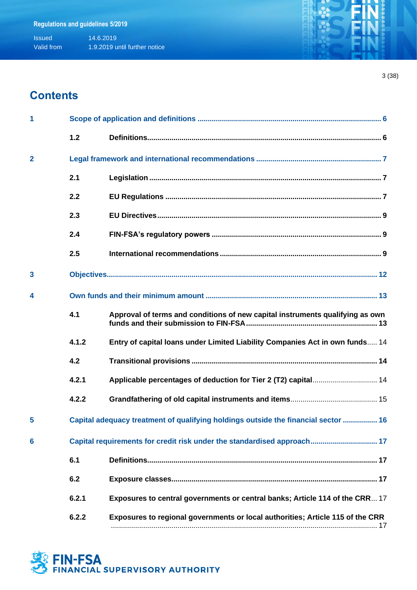## **Contents**

| 1              |                                                                         |                                                                                    |  |  |  |  |
|----------------|-------------------------------------------------------------------------|------------------------------------------------------------------------------------|--|--|--|--|
|                | 1.2                                                                     |                                                                                    |  |  |  |  |
| $\overline{2}$ |                                                                         |                                                                                    |  |  |  |  |
|                | 2.1                                                                     |                                                                                    |  |  |  |  |
|                | 2.2                                                                     |                                                                                    |  |  |  |  |
|                | 2.3                                                                     |                                                                                    |  |  |  |  |
|                | 2.4                                                                     |                                                                                    |  |  |  |  |
|                | 2.5                                                                     |                                                                                    |  |  |  |  |
| 3              |                                                                         |                                                                                    |  |  |  |  |
| 4              |                                                                         |                                                                                    |  |  |  |  |
|                | 4.1                                                                     | Approval of terms and conditions of new capital instruments qualifying as own      |  |  |  |  |
|                | 4.1.2                                                                   | Entry of capital loans under Limited Liability Companies Act in own funds 14       |  |  |  |  |
|                | 4.2                                                                     |                                                                                    |  |  |  |  |
|                | 4.2.1                                                                   |                                                                                    |  |  |  |  |
|                | 4.2.2                                                                   |                                                                                    |  |  |  |  |
| 5              |                                                                         | Capital adequacy treatment of qualifying holdings outside the financial sector  16 |  |  |  |  |
| 6              | Capital requirements for credit risk under the standardised approach 17 |                                                                                    |  |  |  |  |
|                | 6.1                                                                     |                                                                                    |  |  |  |  |
|                | 6.2                                                                     |                                                                                    |  |  |  |  |
|                | 6.2.1                                                                   | Exposures to central governments or central banks; Article 114 of the CRR 17       |  |  |  |  |
|                | 6.2.2                                                                   | Exposures to regional governments or local authorities; Article 115 of the CRR     |  |  |  |  |

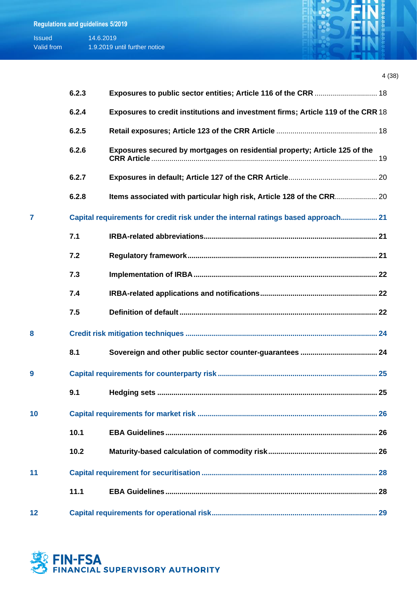| <b>Issued</b> | 14.6.2019                     |
|---------------|-------------------------------|
| Valid from    | 1.9.2019 until further notice |



|    | 6.2.3 | Exposures to public sector entities; Article 116 of the CRR  18                   |  |
|----|-------|-----------------------------------------------------------------------------------|--|
|    | 6.2.4 | Exposures to credit institutions and investment firms; Article 119 of the CRR 18  |  |
|    | 6.2.5 |                                                                                   |  |
|    | 6.2.6 | Exposures secured by mortgages on residential property; Article 125 of the        |  |
|    | 6.2.7 |                                                                                   |  |
|    | 6.2.8 | Items associated with particular high risk, Article 128 of the CRR 20             |  |
|    |       | Capital requirements for credit risk under the internal ratings based approach 21 |  |
|    | 7.1   |                                                                                   |  |
|    | 7.2   |                                                                                   |  |
|    | 7.3   |                                                                                   |  |
|    | 7.4   |                                                                                   |  |
|    | 7.5   |                                                                                   |  |
| 8  |       |                                                                                   |  |
|    | 8.1   |                                                                                   |  |
| 9  |       |                                                                                   |  |
|    | 9.1   |                                                                                   |  |
| 10 |       |                                                                                   |  |
|    | 10.1  |                                                                                   |  |
|    | 10.2  |                                                                                   |  |
| 11 |       |                                                                                   |  |
|    | 11.1  |                                                                                   |  |
| 12 |       |                                                                                   |  |

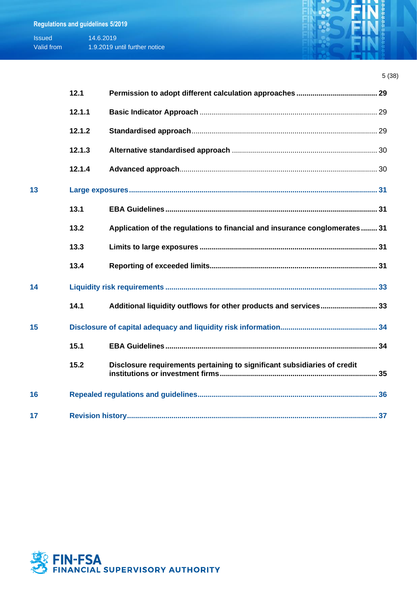| <b>Issued</b> | 14.6.2019                     |
|---------------|-------------------------------|
| Valid from    | 1.9.2019 until further notice |

|    | 12.1   |                                                                            |  |
|----|--------|----------------------------------------------------------------------------|--|
|    | 12.1.1 |                                                                            |  |
|    | 12.1.2 |                                                                            |  |
|    | 12.1.3 |                                                                            |  |
|    | 12.1.4 |                                                                            |  |
| 13 |        |                                                                            |  |
|    | 13.1   |                                                                            |  |
|    | 13.2   | Application of the regulations to financial and insurance conglomerates 31 |  |
|    | 13.3   |                                                                            |  |
|    | 13.4   |                                                                            |  |
| 14 |        |                                                                            |  |
|    | 14.1   | Additional liquidity outflows for other products and services 33           |  |
| 15 |        |                                                                            |  |
|    | 15.1   |                                                                            |  |
|    | 15.2   | Disclosure requirements pertaining to significant subsidiaries of credit   |  |
| 16 |        |                                                                            |  |
| 17 |        |                                                                            |  |

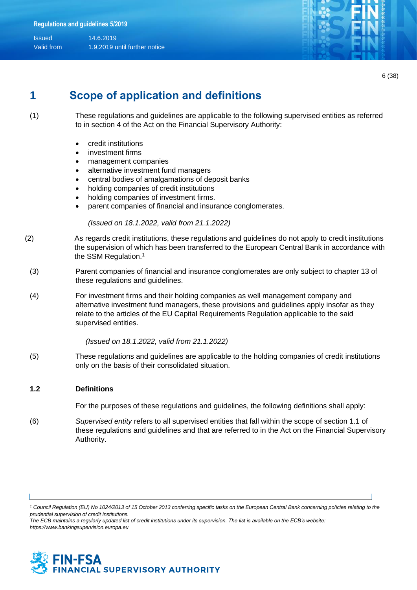

6 (38)

## **1 Scope of application and definitions**

(1) These regulations and guidelines are applicable to the following supervised entities as referred to in section 4 of the Act on the Financial Supervisory Authority:

- credit institutions
- investment firms
- management companies
- alternative investment fund managers
- central bodies of amalgamations of deposit banks
- holding companies of credit institutions
- holding companies of investment firms.
- parent companies of financial and insurance conglomerates.

*(Issued on 18.1.2022, valid from 21.1.2022)*

- (2) As regards credit institutions, these regulations and guidelines do not apply to credit institutions the supervision of which has been transferred to the European Central Bank in accordance with the SSM Regulation.<sup>1</sup>
	- (3) Parent companies of financial and insurance conglomerates are only subject to chapter 13 of these regulations and guidelines.
	- (4) For investment firms and their holding companies as well management company and alternative investment fund managers, these provisions and guidelines apply insofar as they relate to the articles of the EU Capital Requirements Regulation applicable to the said supervised entities.

 *(Issued on 18.1.2022, valid from 21.1.2022)*

(5) These regulations and guidelines are applicable to the holding companies of credit institutions only on the basis of their consolidated situation.

#### **1.2 Definitions**

For the purposes of these regulations and guidelines, the following definitions shall apply:

(6) *Supervised entity* refers to all supervised entities that fall within the scope of section 1.1 of these regulations and guidelines and that are referred to in the Act on the Financial Supervisory Authority.

*The ECB maintains a regularly updated list of credit institutions under its supervision. The list is available on the ECB's website: https://www.bankingsupervision.europa.eu*



*<sup>1</sup> Council Regulation (EU) No 1024/2013 of 15 October 2013 conferring specific tasks on the European Central Bank concerning policies relating to the prudential supervision of credit institutions.*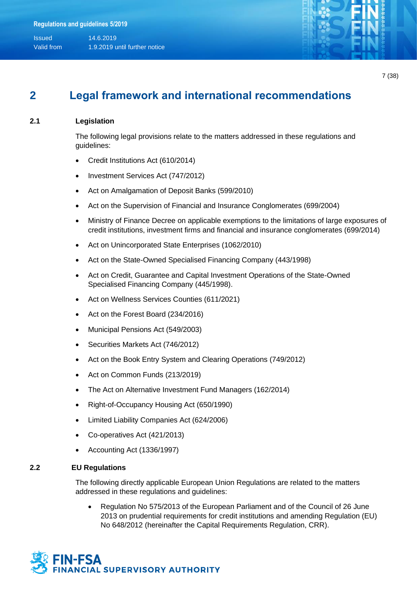

## **2 Legal framework and international recommendations**

### **2.1 Legislation**

The following legal provisions relate to the matters addressed in these regulations and guidelines:

- Credit Institutions Act (610/2014)
- Investment Services Act (747/2012)
- Act on Amalgamation of Deposit Banks (599/2010)
- Act on the Supervision of Financial and Insurance Conglomerates (699/2004)
- Ministry of Finance Decree on applicable exemptions to the limitations of large exposures of credit institutions, investment firms and financial and insurance conglomerates (699/2014)
- Act on Unincorporated State Enterprises (1062/2010)
- Act on the State-Owned Specialised Financing Company (443/1998)
- Act on Credit, Guarantee and Capital Investment Operations of the State-Owned Specialised Financing Company (445/1998).
- Act on Wellness Services Counties (611/2021)
- Act on the Forest Board (234/2016)
- Municipal Pensions Act (549/2003)
- Securities Markets Act (746/2012)
- Act on the Book Entry System and Clearing Operations (749/2012)
- Act on Common Funds (213/2019)
- The Act on Alternative Investment Fund Managers (162/2014)
- Right-of-Occupancy Housing Act (650/1990)
- Limited Liability Companies Act (624/2006)
- Co-operatives Act (421/2013)
- Accounting Act (1336/1997)

#### **2.2 EU Regulations**

The following directly applicable European Union Regulations are related to the matters addressed in these regulations and guidelines:

• Regulation No 575/2013 of the European Parliament and of the Council of 26 June 2013 on prudential requirements for credit institutions and amending Regulation (EU) No 648/2012 (hereinafter the Capital Requirements Regulation, CRR).

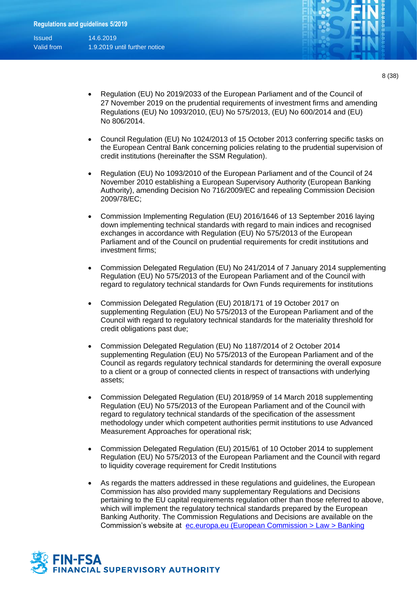Valid from 1.9.2019 until further notice

- Regulation (EU) No 2019/2033 of the European Parliament and of the Council of 27 November 2019 on the prudential requirements of investment firms and amending Regulations (EU) No 1093/2010, (EU) No 575/2013, (EU) No 600/2014 and (EU) No 806/2014.
- Council Regulation (EU) No 1024/2013 of 15 October 2013 conferring specific tasks on the European Central Bank concerning policies relating to the prudential supervision of credit institutions (hereinafter the SSM Regulation).
- Regulation (EU) No 1093/2010 of the European Parliament and of the Council of 24 November 2010 establishing a European Supervisory Authority (European Banking Authority), amending Decision No 716/2009/EC and repealing Commission Decision 2009/78/EC;
- Commission Implementing Regulation (EU) 2016/1646 of 13 September 2016 laying down implementing technical standards with regard to main indices and recognised exchanges in accordance with Regulation (EU) No 575/2013 of the European Parliament and of the Council on prudential requirements for credit institutions and investment firms;
- Commission Delegated Regulation (EU) No 241/2014 of 7 January 2014 supplementing Regulation (EU) No 575/2013 of the European Parliament and of the Council with regard to regulatory technical standards for Own Funds requirements for institutions
- Commission Delegated Regulation (EU) 2018/171 of 19 October 2017 on supplementing Regulation (EU) No 575/2013 of the European Parliament and of the Council with regard to regulatory technical standards for the materiality threshold for credit obligations past due;
- Commission Delegated Regulation (EU) No 1187/2014 of 2 October 2014 supplementing Regulation (EU) No 575/2013 of the European Parliament and of the Council as regards regulatory technical standards for determining the overall exposure to a client or a group of connected clients in respect of transactions with underlying assets;
- Commission Delegated Regulation (EU) 2018/959 of 14 March 2018 supplementing Regulation (EU) No 575/2013 of the European Parliament and of the Council with regard to regulatory technical standards of the specification of the assessment methodology under which competent authorities permit institutions to use Advanced Measurement Approaches for operational risk;
- Commission Delegated Regulation (EU) 2015/61 of 10 October 2014 to supplement Regulation (EU) No 575/2013 of the European Parliament and the Council with regard to liquidity coverage requirement for Credit Institutions
- As regards the matters addressed in these regulations and guidelines, the European Commission has also provided many supplementary Regulations and Decisions pertaining to the EU capital requirements regulation other than those referred to above, which will implement the regulatory technical standards prepared by the European Banking Authority. The Commission Regulations and Decisions are available on the Commission's website at [ec.europa.eu \(European Commission > Law > Banking](https://ec.europa.eu/info/law/banking-prudential-requirements-regulation-eu-no-575-2013/amending-and-supplementary-acts/implementing-and-delegated-acts_en)

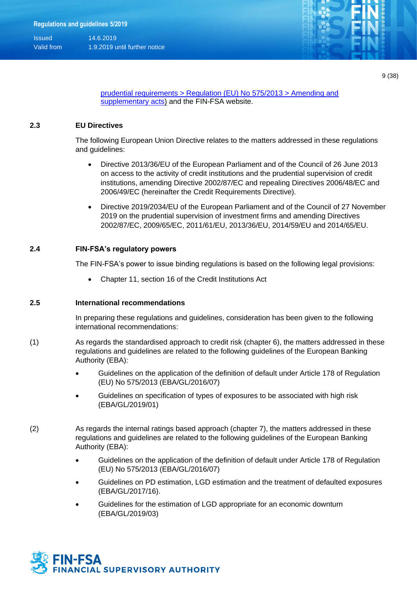

9 (38)

[prudential requirements > Regulation \(EU\) No 575/2013 > Amending and](https://ec.europa.eu/info/law/banking-prudential-requirements-regulation-eu-no-575-2013/amending-and-supplementary-acts/implementing-and-delegated-acts_en)  [supplementary acts\)](https://ec.europa.eu/info/law/banking-prudential-requirements-regulation-eu-no-575-2013/amending-and-supplementary-acts/implementing-and-delegated-acts_en) and the FIN-FSA website.

#### **2.3 EU Directives**

The following European Union Directive relates to the matters addressed in these regulations and guidelines:

- Directive 2013/36/EU of the European Parliament and of the Council of 26 June 2013 on access to the activity of credit institutions and the prudential supervision of credit institutions, amending Directive 2002/87/EC and repealing Directives 2006/48/EC and 2006/49/EC (hereinafter the Credit Requirements Directive).
- Directive 2019/2034/EU of the European Parliament and of the Council of 27 November 2019 on the prudential supervision of investment firms and amending Directives 2002/87/EC, 2009/65/EC, 2011/61/EU, 2013/36/EU, 2014/59/EU and 2014/65/EU.

#### **2.4 FIN-FSA's regulatory powers**

The FIN-FSA's power to issue binding regulations is based on the following legal provisions:

• Chapter 11, section 16 of the Credit Institutions Act

#### **2.5 International recommendations**

In preparing these regulations and guidelines, consideration has been given to the following international recommendations:

- (1) As regards the standardised approach to credit risk (chapter 6), the matters addressed in these regulations and guidelines are related to the following guidelines of the European Banking Authority (EBA):
	- Guidelines on the application of the definition of default under Article 178 of Regulation (EU) No 575/2013 (EBA/GL/2016/07)
	- Guidelines on specification of types of exposures to be associated with high risk (EBA/GL/2019/01)
- (2) As regards the internal ratings based approach (chapter 7), the matters addressed in these regulations and guidelines are related to the following guidelines of the European Banking Authority (EBA):
	- Guidelines on the application of the definition of default under Article 178 of Regulation (EU) No 575/2013 (EBA/GL/2016/07)
	- Guidelines on PD estimation, LGD estimation and the treatment of defaulted exposures (EBA/GL/2017/16).
	- Guidelines for the estimation of LGD appropriate for an economic downturn (EBA/GL/2019/03)

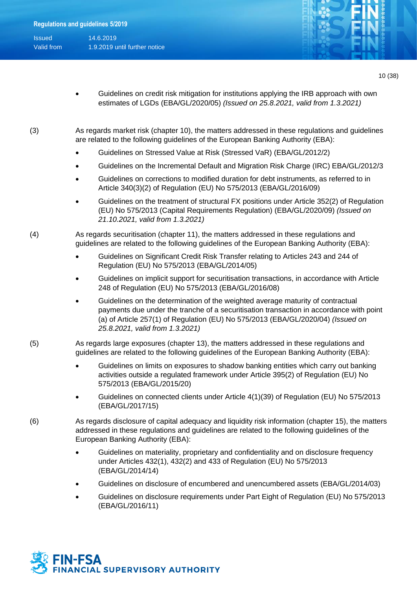| <b>Issued</b> | 14.6.2019            |
|---------------|----------------------|
| Valid from    | 1.9.2019 until furth |

er notice



10 (38)

- Guidelines on credit risk mitigation for institutions applying the IRB approach with own estimates of LGDs (EBA/GL/2020/05) *(Issued on 25.8.2021, valid from 1.3.2021)*
- (3) As regards market risk (chapter 10), the matters addressed in these regulations and guidelines are related to the following guidelines of the European Banking Authority (EBA):
	- Guidelines on Stressed Value at Risk (Stressed VaR) (EBA/GL/2012/2)
	- Guidelines on the Incremental Default and Migration Risk Charge (IRC) EBA/GL/2012/3
	- Guidelines on corrections to modified duration for debt instruments, as referred to in Article 340(3)(2) of Regulation (EU) No 575/2013 (EBA/GL/2016/09)
	- Guidelines on the treatment of structural FX positions under Article 352(2) of Regulation (EU) No 575/2013 (Capital Requirements Regulation) (EBA/GL/2020/09) *(Issued on 21.10.2021, valid from 1.3.2021)*
- (4) As regards securitisation (chapter 11), the matters addressed in these regulations and guidelines are related to the following guidelines of the European Banking Authority (EBA):
	- Guidelines on Significant Credit Risk Transfer relating to Articles 243 and 244 of Regulation (EU) No 575/2013 (EBA/GL/2014/05)
	- Guidelines on implicit support for securitisation transactions, in accordance with Article 248 of Regulation (EU) No 575/2013 (EBA/GL/2016/08)
	- Guidelines on the determination of the weighted average maturity of contractual payments due under the tranche of a securitisation transaction in accordance with point (a) of Article 257(1) of Regulation (EU) No 575/2013 (EBA/GL/2020/04) *(Issued on 25.8.2021, valid from 1.3.2021)*
- (5) As regards large exposures (chapter 13), the matters addressed in these regulations and guidelines are related to the following guidelines of the European Banking Authority (EBA):
	- Guidelines on limits on exposures to shadow banking entities which carry out banking activities outside a regulated framework under Article 395(2) of Regulation (EU) No 575/2013 (EBA/GL/2015/20)
	- Guidelines on connected clients under Article 4(1)(39) of Regulation (EU) No 575/2013 (EBA/GL/2017/15)
- (6) As regards disclosure of capital adequacy and liquidity risk information (chapter 15), the matters addressed in these regulations and guidelines are related to the following guidelines of the European Banking Authority (EBA):
	- Guidelines on materiality, proprietary and confidentiality and on disclosure frequency under Articles 432(1), 432(2) and 433 of Regulation (EU) No 575/2013 (EBA/GL/2014/14)
	- Guidelines on disclosure of encumbered and unencumbered assets (EBA/GL/2014/03)
	- Guidelines on disclosure requirements under Part Eight of Regulation (EU) No 575/2013 (EBA/GL/2016/11)

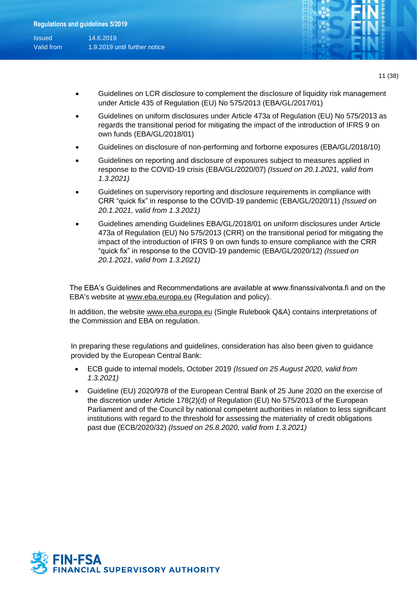

- 11 (38)
- Guidelines on LCR disclosure to complement the disclosure of liquidity risk management under Article 435 of Regulation (EU) No 575/2013 (EBA/GL/2017/01)
- Guidelines on uniform disclosures under Article 473a of Regulation (EU) No 575/2013 as regards the transitional period for mitigating the impact of the introduction of IFRS 9 on own funds (EBA/GL/2018/01)
- Guidelines on disclosure of non-performing and forborne exposures (EBA/GL/2018/10)
- Guidelines on reporting and disclosure of exposures subject to measures applied in response to the COVID-19 crisis (EBA/GL/2020/07) *(Issued on 20.1.2021, valid from 1.3.2021)*
- Guidelines on supervisory reporting and disclosure requirements in compliance with CRR "quick fix" in response to the COVID‐19 pandemic (EBA/GL/2020/11) *(Issued on 20.1.2021, valid from 1.3.2021)*
- Guidelines amending Guidelines EBA/GL/2018/01 on uniform disclosures under Article 473a of Regulation (EU) No 575/2013 (CRR) on the transitional period for mitigating the impact of the introduction of IFRS 9 on own funds to ensure compliance with the CRR "quick fix" in response to the COVID-19 pandemic (EBA/GL/2020/12) *(Issued on 20.1.2021, valid from 1.3.2021)*

The EBA's Guidelines and Recommendations are available at www.finanssivalvonta.fi and on the EBA's website at [www.eba.europa.eu](http://www.eba.europa.eu/) (Regulation and policy).

In addition, the website [www.eba.europa.eu](http://www.eba.europa.eu/) (Single Rulebook Q&A) contains interpretations of the Commission and EBA on regulation.

In preparing these regulations and guidelines, consideration has also been given to guidance provided by the European Central Bank:

- ECB guide to internal models, October 2019 *(Issued on 25 August 2020, valid from 1.3.2021)*
- Guideline (EU) 2020/978 of the European Central Bank of 25 June 2020 on the exercise of the discretion under Article 178(2)(d) of Regulation (EU) No 575/2013 of the European Parliament and of the Council by national competent authorities in relation to less significant institutions with regard to the threshold for assessing the materiality of credit obligations past due (ECB/2020/32) *(Issued on 25.8.2020, valid from 1.3.2021)*

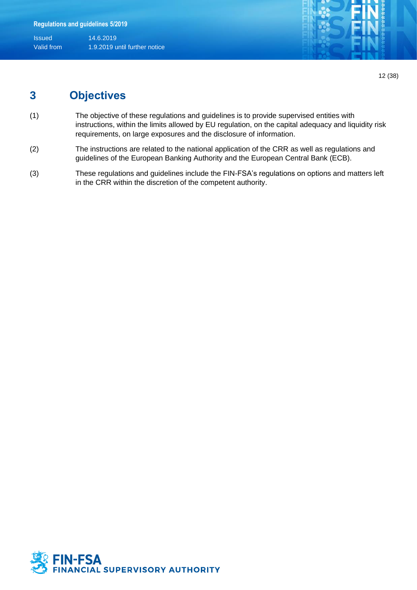

12 (38)

## **3 Objectives**

- (1) The objective of these regulations and guidelines is to provide supervised entities with instructions, within the limits allowed by EU regulation, on the capital adequacy and liquidity risk requirements, on large exposures and the disclosure of information.
- (2) The instructions are related to the national application of the CRR as well as regulations and guidelines of the European Banking Authority and the European Central Bank (ECB).
- (3) These regulations and guidelines include the FIN-FSA's regulations on options and matters left in the CRR within the discretion of the competent authority.

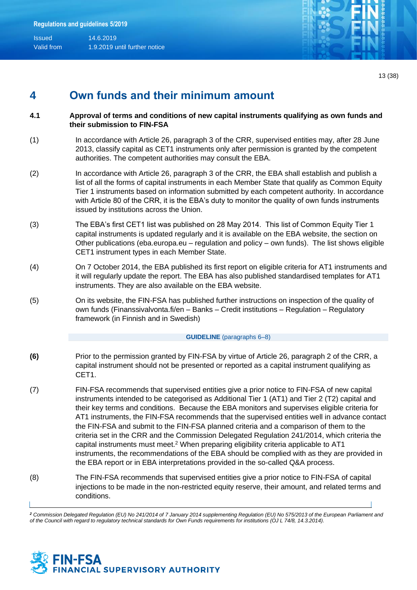

13 (38)

## **4 Own funds and their minimum amount**

- **4.1 Approval of terms and conditions of new capital instruments qualifying as own funds and their submission to FIN-FSA**
- (1) In accordance with Article 26, paragraph 3 of the CRR, supervised entities may, after 28 June 2013, classify capital as CET1 instruments only after permission is granted by the competent authorities. The competent authorities may consult the EBA.
- (2) In accordance with Article 26, paragraph 3 of the CRR, the EBA shall establish and publish a list of all the forms of capital instruments in each Member State that qualify as Common Equity Tier 1 instruments based on information submitted by each competent authority. In accordance with Article 80 of the CRR, it is the EBA's duty to monitor the quality of own funds instruments issued by institutions across the Union.
- (3) The EBA's first CET1 list was published on 28 May 2014. This list of Common Equity Tier 1 capital instruments is updated regularly and it is available on the EBA website, the section on Other publications (eba.europa.eu – regulation and policy – own funds). The list shows eligible CET1 instrument types in each Member State.
- (4) On 7 October 2014, the EBA published its first report on eligible criteria for AT1 instruments and it will regularly update the report. The EBA has also published standardised templates for AT1 instruments. They are also available on the EBA website.
- (5) On its website, the FIN-FSA has published further instructions on inspection of the quality of own funds (Finanssivalvonta.fi/en – Banks – Credit institutions – Regulation – Regulatory framework (in Finnish and in Swedish)

#### **GUIDELINE** (paragraphs 6–8)

- **(6)** Prior to the permission granted by FIN-FSA by virtue of Article 26, paragraph 2 of the CRR, a capital instrument should not be presented or reported as a capital instrument qualifying as CET1.
- (7) FIN-FSA recommends that supervised entities give a prior notice to FIN-FSA of new capital instruments intended to be categorised as Additional Tier 1 (AT1) and Tier 2 (T2) capital and their key terms and conditions. Because the EBA monitors and supervises eligible criteria for AT1 instruments, the FIN-FSA recommends that the supervised entities well in advance contact the FIN-FSA and submit to the FIN-FSA planned criteria and a comparison of them to the criteria set in the CRR and the Commission Delegated Regulation 241/2014, which criteria the capital instruments must meet.<sup>2</sup> When preparing eligibility criteria applicable to AT1 instruments, the recommendations of the EBA should be complied with as they are provided in the EBA report or in EBA interpretations provided in the so-called Q&A process.
- (8) The FIN-FSA recommends that supervised entities give a prior notice to FIN-FSA of capital injections to be made in the non-restricted equity reserve, their amount, and related terms and conditions.

*<sup>2</sup> Commission Delegated Regulation (EU) No 241/2014 of 7 January 2014 supplementing Regulation (EU) No 575/2013 of the European Parliament and of the Council with regard to regulatory technical standards for Own Funds requirements for institutions (OJ L 74/8, 14.3.2014).*

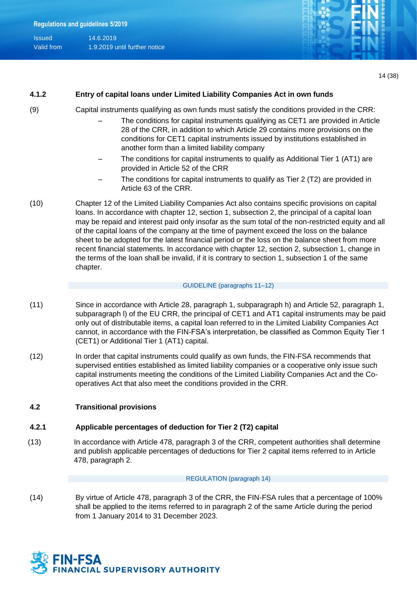| <b>Issued</b> | 14.6.2019                     |
|---------------|-------------------------------|
| Valid from    | 1.9.2019 until further notice |



### **4.1.2 Entry of capital loans under Limited Liability Companies Act in own funds**

- 
- (9) Capital instruments qualifying as own funds must satisfy the conditions provided in the CRR:
	- The conditions for capital instruments qualifying as CET1 are provided in Article 28 of the CRR, in addition to which Article 29 contains more provisions on the conditions for CET1 capital instruments issued by institutions established in another form than a limited liability company
	- The conditions for capital instruments to qualify as Additional Tier 1 (AT1) are provided in Article 52 of the CRR
	- The conditions for capital instruments to qualify as Tier 2 (T2) are provided in Article 63 of the CRR.
- (10) Chapter 12 of the Limited Liability Companies Act also contains specific provisions on capital loans. In accordance with chapter 12, section 1, subsection 2, the principal of a capital loan may be repaid and interest paid only insofar as the sum total of the non-restricted equity and all of the capital loans of the company at the time of payment exceed the loss on the balance sheet to be adopted for the latest financial period or the loss on the balance sheet from more recent financial statements. In accordance with chapter 12, section 2, subsection 1, change in the terms of the loan shall be invalid, if it is contrary to section 1, subsection 1 of the same chapter.

#### GUIDELINE (paragraphs 11–12)

- (11) Since in accordance with Article 28, paragraph 1, subparagraph h) and Article 52, paragraph 1, subparagraph l) of the EU CRR, the principal of CET1 and AT1 capital instruments may be paid only out of distributable items, a capital loan referred to in the Limited Liability Companies Act cannot, in accordance with the FIN-FSA's interpretation, be classified as Common Equity Tier 1 (CET1) or Additional Tier 1 (AT1) capital.
- (12) In order that capital instruments could qualify as own funds, the FIN-FSA recommends that supervised entities established as limited liability companies or a cooperative only issue such capital instruments meeting the conditions of the Limited Liability Companies Act and the Cooperatives Act that also meet the conditions provided in the CRR.

#### **4.2 Transitional provisions**

### **4.2.1 Applicable percentages of deduction for Tier 2 (T2) capital**

(13) In accordance with Article 478, paragraph 3 of the CRR, competent authorities shall determine and publish applicable percentages of deductions for Tier 2 capital items referred to in Article 478, paragraph 2.

#### REGULATION (paragraph 14)

(14) By virtue of Article 478, paragraph 3 of the CRR, the FIN-FSA rules that a percentage of 100% shall be applied to the items referred to in paragraph 2 of the same Article during the period from 1 January 2014 to 31 December 2023.

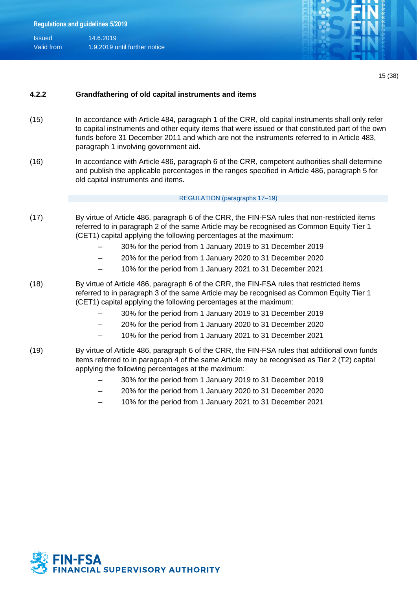

15 (38)

### **4.2.2 Grandfathering of old capital instruments and items**

- (15) In accordance with Article 484, paragraph 1 of the CRR, old capital instruments shall only refer to capital instruments and other equity items that were issued or that constituted part of the own funds before 31 December 2011 and which are not the instruments referred to in Article 483, paragraph 1 involving government aid.
- (16) In accordance with Article 486, paragraph 6 of the CRR, competent authorities shall determine and publish the applicable percentages in the ranges specified in Article 486, paragraph 5 for old capital instruments and items.

#### REGULATION (paragraphs 17–19)

- (17) By virtue of Article 486, paragraph 6 of the CRR, the FIN-FSA rules that non-restricted items referred to in paragraph 2 of the same Article may be recognised as Common Equity Tier 1 (CET1) capital applying the following percentages at the maximum:
	- 30% for the period from 1 January 2019 to 31 December 2019
	- 20% for the period from 1 January 2020 to 31 December 2020
	- 10% for the period from 1 January 2021 to 31 December 2021
- (18) By virtue of Article 486, paragraph 6 of the CRR, the FIN-FSA rules that restricted items referred to in paragraph 3 of the same Article may be recognised as Common Equity Tier 1 (CET1) capital applying the following percentages at the maximum:
	- 30% for the period from 1 January 2019 to 31 December 2019
	- 20% for the period from 1 January 2020 to 31 December 2020
	- 10% for the period from 1 January 2021 to 31 December 2021
- (19) By virtue of Article 486, paragraph 6 of the CRR, the FIN-FSA rules that additional own funds items referred to in paragraph 4 of the same Article may be recognised as Tier 2 (T2) capital applying the following percentages at the maximum:
	- 30% for the period from 1 January 2019 to 31 December 2019
	- 20% for the period from 1 January 2020 to 31 December 2020
	- 10% for the period from 1 January 2021 to 31 December 2021

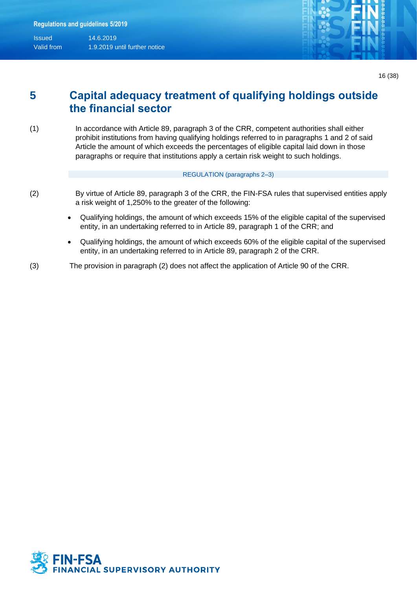

## **5 Capital adequacy treatment of qualifying holdings outside the financial sector**

(1) In accordance with Article 89, paragraph 3 of the CRR, competent authorities shall either prohibit institutions from having qualifying holdings referred to in paragraphs 1 and 2 of said Article the amount of which exceeds the percentages of eligible capital laid down in those paragraphs or require that institutions apply a certain risk weight to such holdings.

#### REGULATION (paragraphs 2–3)

- 
- (2) By virtue of Article 89, paragraph 3 of the CRR, the FIN-FSA rules that supervised entities apply a risk weight of 1,250% to the greater of the following:
	- Qualifying holdings, the amount of which exceeds 15% of the eligible capital of the supervised entity, in an undertaking referred to in Article 89, paragraph 1 of the CRR; and
	- Qualifying holdings, the amount of which exceeds 60% of the eligible capital of the supervised entity, in an undertaking referred to in Article 89, paragraph 2 of the CRR.
- (3) The provision in paragraph (2) does not affect the application of Article 90 of the CRR.

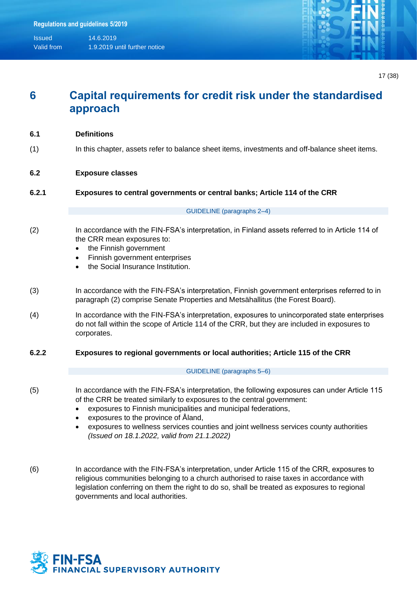

## **6 Capital requirements for credit risk under the standardised approach**

- (1) In this chapter, assets refer to balance sheet items, investments and off-balance sheet items.
- **6.2 Exposure classes**
- **6.2.1 Exposures to central governments or central banks; Article 114 of the CRR**

#### GUIDELINE (paragraphs 2–4)

- (2) In accordance with the FIN-FSA's interpretation, in Finland assets referred to in Article 114 of the CRR mean exposures to:
	- the Finnish government
	- Finnish government enterprises
	- the Social Insurance Institution.
- (3) In accordance with the FIN-FSA's interpretation, Finnish government enterprises referred to in paragraph (2) comprise Senate Properties and Metsähallitus (the Forest Board).
- (4) In accordance with the FIN-FSA's interpretation, exposures to unincorporated state enterprises do not fall within the scope of Article 114 of the CRR, but they are included in exposures to corporates.
- **6.2.2 Exposures to regional governments or local authorities; Article 115 of the CRR**

#### GUIDELINE (paragraphs 5–6)

(5) In accordance with the FIN-FSA's interpretation, the following exposures can under Article 115 of the CRR be treated similarly to exposures to the central government:

- exposures to Finnish municipalities and municipal federations,
- exposures to the province of Åland,
- exposures to wellness services counties and joint wellness services county authorities *(Issued on 18.1.2022, valid from 21.1.2022)*
- (6) In accordance with the FIN-FSA's interpretation, under Article 115 of the CRR, exposures to religious communities belonging to a church authorised to raise taxes in accordance with legislation conferring on them the right to do so, shall be treated as exposures to regional governments and local authorities.

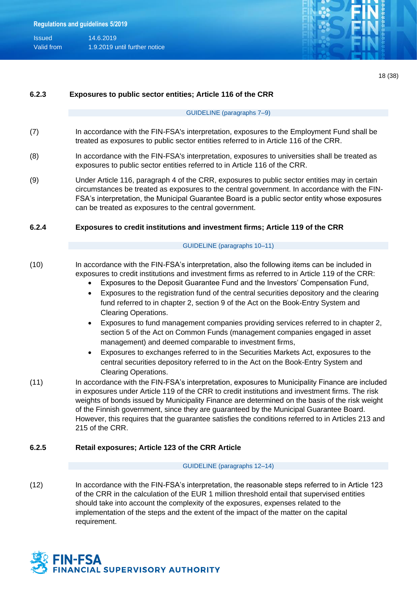| <b>Issued</b> | 14.6.2019                     |
|---------------|-------------------------------|
| Valid from    | 1.9.2019 until further notice |



|  | i<br>٠ |
|--|--------|
|--|--------|

|       | 101                                                                                                                                                                                                                                                                                                                                                                                                                                                                                                                                                                                                                                                                                                                                                                                                                                                                                                                                                                                                                                                                                                                                                                                    |  |  |  |  |  |
|-------|----------------------------------------------------------------------------------------------------------------------------------------------------------------------------------------------------------------------------------------------------------------------------------------------------------------------------------------------------------------------------------------------------------------------------------------------------------------------------------------------------------------------------------------------------------------------------------------------------------------------------------------------------------------------------------------------------------------------------------------------------------------------------------------------------------------------------------------------------------------------------------------------------------------------------------------------------------------------------------------------------------------------------------------------------------------------------------------------------------------------------------------------------------------------------------------|--|--|--|--|--|
| 6.2.3 | Exposures to public sector entities; Article 116 of the CRR                                                                                                                                                                                                                                                                                                                                                                                                                                                                                                                                                                                                                                                                                                                                                                                                                                                                                                                                                                                                                                                                                                                            |  |  |  |  |  |
|       | GUIDELINE (paragraphs 7-9)                                                                                                                                                                                                                                                                                                                                                                                                                                                                                                                                                                                                                                                                                                                                                                                                                                                                                                                                                                                                                                                                                                                                                             |  |  |  |  |  |
|       | In accordance with the FIN-FSA's interpretation, exposures to the Employment Fund shall be<br>treated as exposures to public sector entities referred to in Article 116 of the CRR.                                                                                                                                                                                                                                                                                                                                                                                                                                                                                                                                                                                                                                                                                                                                                                                                                                                                                                                                                                                                    |  |  |  |  |  |
|       | In accordance with the FIN-FSA's interpretation, exposures to universities shall be treated as<br>exposures to public sector entities referred to in Article 116 of the CRR.                                                                                                                                                                                                                                                                                                                                                                                                                                                                                                                                                                                                                                                                                                                                                                                                                                                                                                                                                                                                           |  |  |  |  |  |
|       | Under Article 116, paragraph 4 of the CRR, exposures to public sector entities may in certain<br>circumstances be treated as exposures to the central government. In accordance with the FIN-<br>FSA's interpretation, the Municipal Guarantee Board is a public sector entity whose exposures<br>can be treated as exposures to the central government.                                                                                                                                                                                                                                                                                                                                                                                                                                                                                                                                                                                                                                                                                                                                                                                                                               |  |  |  |  |  |
|       | Exposures to credit institutions and investment firms; Article 119 of the CRR                                                                                                                                                                                                                                                                                                                                                                                                                                                                                                                                                                                                                                                                                                                                                                                                                                                                                                                                                                                                                                                                                                          |  |  |  |  |  |
|       | GUIDELINE (paragraphs 10-11)                                                                                                                                                                                                                                                                                                                                                                                                                                                                                                                                                                                                                                                                                                                                                                                                                                                                                                                                                                                                                                                                                                                                                           |  |  |  |  |  |
|       | In accordance with the FIN-FSA's interpretation, also the following items can be included in<br>exposures to credit institutions and investment firms as referred to in Article 119 of the CRR:<br>Exposures to the Deposit Guarantee Fund and the Investors' Compensation Fund,<br>Exposures to the registration fund of the central securities depository and the clearing<br>$\bullet$<br>fund referred to in chapter 2, section 9 of the Act on the Book-Entry System and<br><b>Clearing Operations.</b><br>Exposures to fund management companies providing services referred to in chapter 2,<br>$\bullet$<br>section 5 of the Act on Common Funds (management companies engaged in asset<br>management) and deemed comparable to investment firms,<br>Exposures to exchanges referred to in the Securities Markets Act, exposures to the<br>$\bullet$<br>central securities depository referred to in the Act on the Book-Entry System and<br><b>Clearing Operations.</b><br>In accordance with the FIN-FSA's interpretation, exposures to Municipality Finance are included<br>in exposures under Article 119 of the CRR to credit institutions and investment firms. The risk |  |  |  |  |  |
|       | weights of bonds issued by Municipality Finance are determined on the basis of the risk weight<br>of the Finnish government, since they are guaranteed by the Municipal Guarantee Board.<br>However, this requires that the guarantee satisfies the conditions referred to in Articles 213 and<br>215 of the CRR.                                                                                                                                                                                                                                                                                                                                                                                                                                                                                                                                                                                                                                                                                                                                                                                                                                                                      |  |  |  |  |  |
|       | Retail exposures; Article 123 of the CRR Article                                                                                                                                                                                                                                                                                                                                                                                                                                                                                                                                                                                                                                                                                                                                                                                                                                                                                                                                                                                                                                                                                                                                       |  |  |  |  |  |
|       | GUIDELINE (paragraphs 12-14)                                                                                                                                                                                                                                                                                                                                                                                                                                                                                                                                                                                                                                                                                                                                                                                                                                                                                                                                                                                                                                                                                                                                                           |  |  |  |  |  |
|       | In accordance with the FIN-FSA's interpretation, the reasonable steps referred to in Article 123<br>of the CRR in the calculation of the EUR 1 million threshold entail that supervised entities<br>should take into account the complexity of the exposures, expenses related to the<br>implementation of the steps and the extent of the impact of the matter on the capital<br>requirement.                                                                                                                                                                                                                                                                                                                                                                                                                                                                                                                                                                                                                                                                                                                                                                                         |  |  |  |  |  |

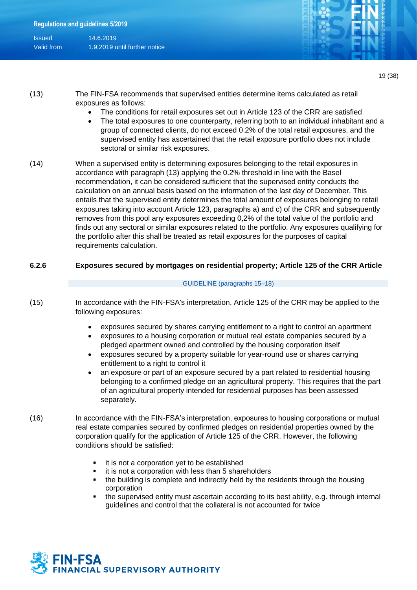

19 (38)

| (13) | The FIN-FSA recommends that supervised entities determine items calculated as retail |  |  |  |  |  |  |  |  |
|------|--------------------------------------------------------------------------------------|--|--|--|--|--|--|--|--|
|      | exposures as follows:                                                                |  |  |  |  |  |  |  |  |

- The conditions for retail exposures set out in Article 123 of the CRR are satisfied
- The total exposures to one counterparty, referring both to an individual inhabitant and a group of connected clients, do not exceed 0.2% of the total retail exposures, and the supervised entity has ascertained that the retail exposure portfolio does not include sectoral or similar risk exposures.
- (14) When a supervised entity is determining exposures belonging to the retail exposures in accordance with paragraph (13) applying the 0.2% threshold in line with the Basel recommendation, it can be considered sufficient that the supervised entity conducts the calculation on an annual basis based on the information of the last day of December. This entails that the supervised entity determines the total amount of exposures belonging to retail exposures taking into account Article 123, paragraphs a) and c) of the CRR and subsequently removes from this pool any exposures exceeding 0,2% of the total value of the portfolio and finds out any sectoral or similar exposures related to the portfolio. Any exposures qualifying for the portfolio after this shall be treated as retail exposures for the purposes of capital requirements calculation.

#### **6.2.6 Exposures secured by mortgages on residential property; Article 125 of the CRR Article**

#### GUIDELINE (paragraphs 15–18)

- (15) In accordance with the FIN-FSA's interpretation, Article 125 of the CRR may be applied to the following exposures:
	- exposures secured by shares carrying entitlement to a right to control an apartment
	- exposures to a housing corporation or mutual real estate companies secured by a pledged apartment owned and controlled by the housing corporation itself
	- exposures secured by a property suitable for year-round use or shares carrying entitlement to a right to control it
	- an exposure or part of an exposure secured by a part related to residential housing belonging to a confirmed pledge on an agricultural property. This requires that the part of an agricultural property intended for residential purposes has been assessed separately.
- (16) In accordance with the FIN-FSA's interpretation, exposures to housing corporations or mutual real estate companies secured by confirmed pledges on residential properties owned by the corporation qualify for the application of Article 125 of the CRR. However, the following conditions should be satisfied:
	- it is not a corporation yet to be established
	- it is not a corporation with less than 5 shareholders
	- the building is complete and indirectly held by the residents through the housing corporation
	- the supervised entity must ascertain according to its best ability, e.g. through internal guidelines and control that the collateral is not accounted for twice

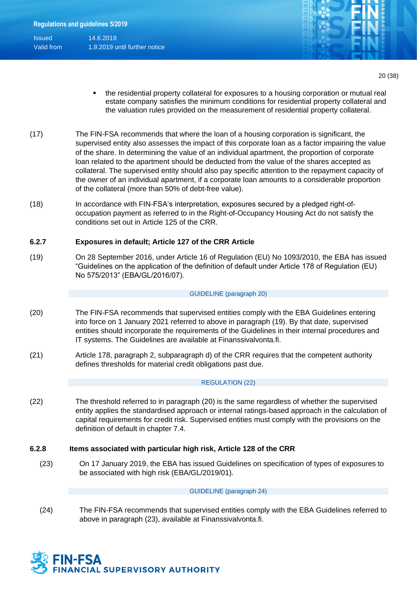

20 (38)

- the residential property collateral for exposures to a housing corporation or mutual real estate company satisfies the minimum conditions for residential property collateral and the valuation rules provided on the measurement of residential property collateral.
- (17) The FIN-FSA recommends that where the loan of a housing corporation is significant, the supervised entity also assesses the impact of this corporate loan as a factor impairing the value of the share. In determining the value of an individual apartment, the proportion of corporate loan related to the apartment should be deducted from the value of the shares accepted as collateral. The supervised entity should also pay specific attention to the repayment capacity of the owner of an individual apartment, if a corporate loan amounts to a considerable proportion of the collateral (more than 50% of debt-free value).
- (18) In accordance with FIN-FSA's interpretation, exposures secured by a pledged right-ofoccupation payment as referred to in the Right-of-Occupancy Housing Act do not satisfy the conditions set out in Article 125 of the CRR.

### **6.2.7 Exposures in default; Article 127 of the CRR Article**

(19) On 28 September 2016, under Article 16 of Regulation (EU) No 1093/2010, the EBA has issued "Guidelines on the application of the definition of default under Article 178 of Regulation (EU) No 575/2013" (EBA/GL/2016/07).

#### GUIDELINE (paragraph 20)

- (20) The FIN-FSA recommends that supervised entities comply with the EBA Guidelines entering into force on 1 January 2021 referred to above in paragraph (19). By that date, supervised entities should incorporate the requirements of the Guidelines in their internal procedures and IT systems. The Guidelines are available at Finanssivalvonta.fi.
- (21) Article 178, paragraph 2, subparagraph d) of the CRR requires that the competent authority defines thresholds for material credit obligations past due.

#### <span id="page-19-1"></span>REGULATIO[N \(22\)](#page-19-0)

<span id="page-19-0"></span>(22) The threshold referred to in paragraph [\(20\)](#page-19-1) is the same regardless of whether the supervised entity applies the standardised approach or internal ratings-based approach in the calculation of capital requirements for credit risk. Supervised entities must comply with the provisions on the definition of default in chapter 7.4.

### **6.2.8 Items associated with particular high risk, Article 128 of the CRR**

(23) On 17 January 2019, the EBA has issued Guidelines on specification of types of exposures to be associated with high risk (EBA/GL/2019/01).

#### GUIDELINE (paragraph 24)

(24) The FIN-FSA recommends that supervised entities comply with the EBA Guidelines referred to above in paragraph (23), available at Finanssivalvonta.fi.

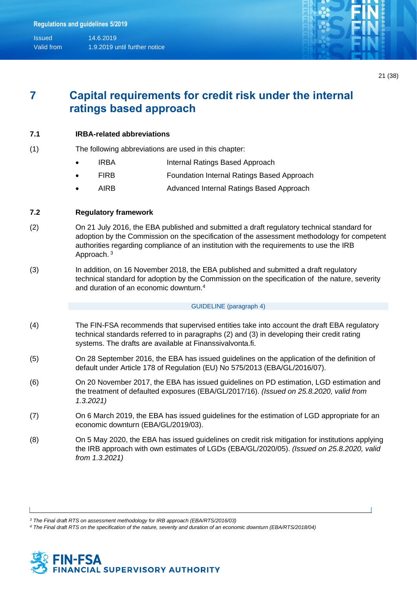

## **7 Capital requirements for credit risk under the internal ratings based approach**

### **7.1 IRBA-related abbreviations**

- (1) The following abbreviations are used in this chapter:
	- IRBA **Internal Ratings Based Approach**
	- FIRB **Foundation Internal Ratings Based Approach**
	- AIRB Advanced Internal Ratings Based Approach

### **7.2 Regulatory framework**

- (2) On 21 July 2016, the EBA published and submitted a draft regulatory technical standard for adoption by the Commission on the specification of the assessment methodology for competent authorities regarding compliance of an institution with the requirements to use the IRB Approach.<sup>3</sup>
- (3) In addition, on 16 November 2018, the EBA published and submitted a draft regulatory technical standard for adoption by the Commission on the specification of the nature, severity and duration of an economic downturn.<sup>4</sup>

#### GUIDELINE (paragraph 4)

- (4) The FIN-FSA recommends that supervised entities take into account the draft EBA regulatory technical standards referred to in paragraphs (2) and (3) in developing their credit rating systems. The drafts are available at Finanssivalvonta.fi.
- (5) On 28 September 2016, the EBA has issued guidelines on the application of the definition of default under Article 178 of Regulation (EU) No 575/2013 (EBA/GL/2016/07).
- (6) On 20 November 2017, the EBA has issued guidelines on PD estimation, LGD estimation and the treatment of defaulted exposures (EBA/GL/2017/16). *(Issued on 25.8.2020, valid from 1.3.2021)*
- (7) On 6 March 2019, the EBA has issued guidelines for the estimation of LGD appropriate for an economic downturn (EBA/GL/2019/03).
- (8) On 5 May 2020, the EBA has issued guidelines on credit risk mitigation for institutions applying the IRB approach with own estimates of LGDs (EBA/GL/2020/05). *(Issued on 25.8.2020, valid from 1.3.2021)*

*<sup>3</sup> The Final draft RTS on assessment methodology for IRB approach (EBA/RTS/2016/03)*

*<sup>4</sup> The Final draft RTS on the specification of the nature, severity and duration of an economic downturn (EBA/RTS/2018/04)*

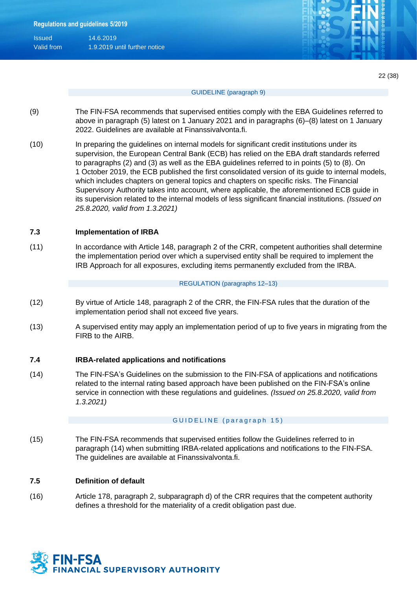| <b>Issued</b> | 14.6.2019                     |
|---------------|-------------------------------|
| Valid from    | 1.9.2019 until further notice |

#### GUIDELINE (paragraph 9)

- (9) The FIN-FSA recommends that supervised entities comply with the EBA Guidelines referred to above in paragraph (5) latest on 1 January 2021 and in paragraphs (6)–(8) latest on 1 January 2022. Guidelines are available at Finanssivalvonta.fi.
- (10) In preparing the guidelines on internal models for significant credit institutions under its supervision, the European Central Bank (ECB) has relied on the EBA draft standards referred to paragraphs (2) and (3) as well as the EBA guidelines referred to in points (5) to (8). On 1 October 2019, the ECB published the first consolidated version of its guide to internal models, which includes chapters on general topics and chapters on specific risks. The Financial Supervisory Authority takes into account, where applicable, the aforementioned ECB guide in its supervision related to the internal models of less significant financial institutions. *(Issued on 25.8.2020, valid from 1.3.2021)*

#### **7.3 Implementation of IRBA**

(11) In accordance with Article 148, paragraph 2 of the CRR, competent authorities shall determine the implementation period over which a supervised entity shall be required to implement the IRB Approach for all exposures, excluding items permanently excluded from the IRBA.

#### REGULATION (paragraphs 12–13)

- (12) By virtue of Article 148, paragraph 2 of the CRR, the FIN-FSA rules that the duration of the implementation period shall not exceed five years.
- (13) A supervised entity may apply an implementation period of up to five years in migrating from the FIRB to the AIRB.

#### **7.4 IRBA-related applications and notifications**

(14) The FIN-FSA's Guidelines on the submission to the FIN-FSA of applications and notifications related to the internal rating based approach have been published on the FIN-FSA's online service in connection with these regulations and guidelines. *(Issued on 25.8.2020, valid from 1.3.2021)*

#### GUIDELINE (paragraph 15)

(15) The FIN-FSA recommends that supervised entities follow the Guidelines referred to in paragraph (14) when submitting IRBA-related applications and notifications to the FIN-FSA. The guidelines are available at Finanssivalvonta.fi.

#### **7.5 Definition of default**

(16) Article 178, paragraph 2, subparagraph d) of the CRR requires that the competent authority defines a threshold for the materiality of a credit obligation past due.

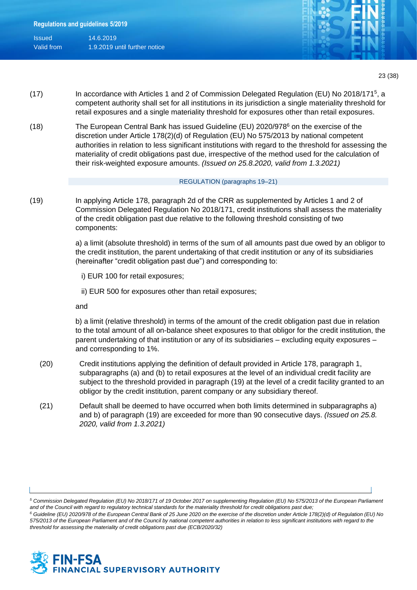| <b>Issued</b> | 14.6.2019                     |
|---------------|-------------------------------|
| Valid from    | 1.9.2019 until further notice |



- (17) In accordance with Articles 1 and 2 of Commission Delegated Regulation (EU) No 2018/171<sup>5</sup>, a competent authority shall set for all institutions in its jurisdiction a single materiality threshold for retail exposures and a single materiality threshold for exposures other than retail exposures.
- (18) The European Central Bank has issued Guideline (EU) 2020/978<sup>6</sup> on the exercise of the discretion under Article 178(2)(d) of Regulation (EU) No 575/2013 by national competent authorities in relation to less significant institutions with regard to the threshold for assessing the materiality of credit obligations past due, irrespective of the method used for the calculation of their risk-weighted exposure amounts. *(Issued on 25.8.2020, valid from 1.3.2021)*

#### REGULATION (paragraphs 19–21)

(19) In applying Article 178, paragraph 2d of the CRR as supplemented by Articles 1 and 2 of Commission Delegated Regulation No 2018/171, credit institutions shall assess the materiality of the credit obligation past due relative to the following threshold consisting of two components:

> a) a limit (absolute threshold) in terms of the sum of all amounts past due owed by an obligor to the credit institution, the parent undertaking of that credit institution or any of its subsidiaries (hereinafter "credit obligation past due") and corresponding to:

- i) EUR 100 for retail exposures;
- ii) EUR 500 for exposures other than retail exposures;

and

b) a limit (relative threshold) in terms of the amount of the credit obligation past due in relation to the total amount of all on-balance sheet exposures to that obligor for the credit institution, the parent undertaking of that institution or any of its subsidiaries – excluding equity exposures – and corresponding to 1%.

- (20) Credit institutions applying the definition of default provided in Article 178, paragraph 1, subparagraphs (a) and (b) to retail exposures at the level of an individual credit facility are subject to the threshold provided in paragraph (19) at the level of a credit facility granted to an obligor by the credit institution, parent company or any subsidiary thereof.
- (21) Default shall be deemed to have occurred when both limits determined in subparagraphs a) and b) of paragraph (19) are exceeded for more than 90 consecutive days. *(Issued on 25.8. 2020, valid from 1.3.2021)*

*<sup>6</sup> Guideline (EU) 2020/978 of the European Central Bank of 25 June 2020 on the exercise of the discretion under Article 178(2)(d) of Regulation (EU) No 575/2013 of the European Parliament and of the Council by national competent authorities in relation to less significant institutions with regard to the threshold for assessing the materiality of credit obligations past due (ECB/2020/32)*



*<sup>5</sup> Commission Delegated Regulation (EU) No 2018/171 of 19 October 2017 on supplementing Regulation (EU) No 575/2013 of the European Parliament and of the Council with regard to regulatory technical standards for the materiality threshold for credit obligations past due;*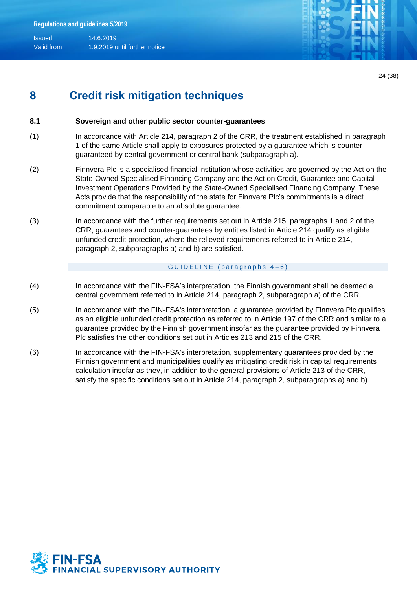

24 (38)

## **8 Credit risk mitigation techniques**

### **8.1 Sovereign and other public sector counter-guarantees**

- (1) In accordance with Article 214, paragraph 2 of the CRR, the treatment established in paragraph 1 of the same Article shall apply to exposures protected by a guarantee which is counterguaranteed by central government or central bank (subparagraph a).
- (2) Finnvera Plc is a specialised financial institution whose activities are governed by the Act on the State-Owned Specialised Financing Company and the Act on Credit, Guarantee and Capital Investment Operations Provided by the State-Owned Specialised Financing Company. These Acts provide that the responsibility of the state for Finnvera Plc's commitments is a direct commitment comparable to an absolute guarantee.
- (3) In accordance with the further requirements set out in Article 215, paragraphs 1 and 2 of the CRR, guarantees and counter-guarantees by entities listed in Article 214 qualify as eligible unfunded credit protection, where the relieved requirements referred to in Article 214, paragraph 2, subparagraphs a) and b) are satisfied.

#### GUIDELINE (paragraphs  $4-6$ )

- (4) In accordance with the FIN-FSA's interpretation, the Finnish government shall be deemed a central government referred to in Article 214, paragraph 2, subparagraph a) of the CRR.
- (5) In accordance with the FIN-FSA's interpretation, a guarantee provided by Finnvera Plc qualifies as an eligible unfunded credit protection as referred to in Article 197 of the CRR and similar to a guarantee provided by the Finnish government insofar as the guarantee provided by Finnvera Plc satisfies the other conditions set out in Articles 213 and 215 of the CRR.
- (6) In accordance with the FIN-FSA's interpretation, supplementary guarantees provided by the Finnish government and municipalities qualify as mitigating credit risk in capital requirements calculation insofar as they, in addition to the general provisions of Article 213 of the CRR, satisfy the specific conditions set out in Article 214, paragraph 2, subparagraphs a) and b).

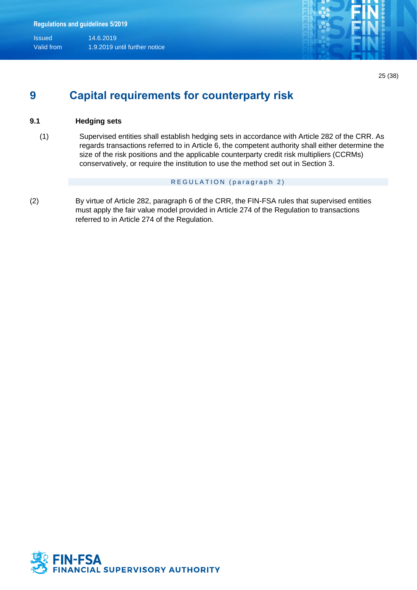

## **9 Capital requirements for counterparty risk**

### **9.1 Hedging sets**

(1) Supervised entities shall establish hedging sets in accordance with Article 282 of the CRR. As regards transactions referred to in Article 6, the competent authority shall either determine the size of the risk positions and the applicable counterparty credit risk multipliers (CCRMs) conservatively, or require the institution to use the method set out in Section 3.

#### REGULATION (paragraph 2)

(2) By virtue of Article 282, paragraph 6 of the CRR, the FIN-FSA rules that supervised entities must apply the fair value model provided in Article 274 of the Regulation to transactions referred to in Article 274 of the Regulation.

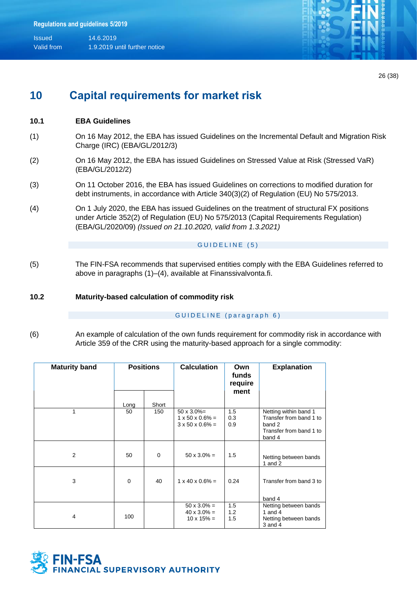

26 (38)

## **10 Capital requirements for market risk**

### **10.1 EBA Guidelines**

- (1) On 16 May 2012, the EBA has issued Guidelines on the Incremental Default and Migration Risk Charge (IRC) (EBA/GL/2012/3)
- (2) On 16 May 2012, the EBA has issued Guidelines on Stressed Value at Risk (Stressed VaR) (EBA/GL/2012/2)
- (3) On 11 October 2016, the EBA has issued Guidelines on corrections to modified duration for debt instruments, in accordance with Article 340(3)(2) of Regulation (EU) No 575/2013.
- (4) On 1 July 2020, the EBA has issued Guidelines on the treatment of structural FX positions under Article 352(2) of Regulation (EU) No 575/2013 (Capital Requirements Regulation) (EBA/GL/2020/09) *(Issued on 21.10.2020, valid from 1.3.2021)*

#### GUIDELINE (5)

(5) The FIN-FSA recommends that supervised entities comply with the EBA Guidelines referred to above in paragraphs (1)–(4), available at Finanssivalvonta.fi.

#### **10.2 Maturity-based calculation of commodity risk**

#### GUIDELINE (paragraph 6)

(6) An example of calculation of the own funds requirement for commodity risk in accordance with Article 359 of the CRR using the maturity-based approach for a single commodity:

| <b>Maturity band</b> | <b>Positions</b> |       | <b>Calculation</b>                                                                  | Own<br>funds<br>require<br>ment | <b>Explanation</b>                                                                              |
|----------------------|------------------|-------|-------------------------------------------------------------------------------------|---------------------------------|-------------------------------------------------------------------------------------------------|
|                      | Long             | Short |                                                                                     |                                 |                                                                                                 |
| 1                    | 50               | 150   | $50 \times 3.0\% =$<br>$1 \times 50 \times 0.6\% =$<br>$3 \times 50 \times 0.6\% =$ | 1.5<br>0.3<br>0.9               | Netting within band 1<br>Transfer from band 1 to<br>band 2<br>Transfer from band 1 to<br>band 4 |
| 2                    | 50               | 0     | $50 \times 3.0\% =$                                                                 | 1.5                             | Netting between bands<br>1 and $2$                                                              |
| 3                    | 0                | 40    | $1 \times 40 \times 0.6\% =$                                                        | 0.24                            | Transfer from band 3 to<br>band 4                                                               |
| 4                    | 100              |       | $50 \times 3.0\% =$<br>$40 \times 3.0\% =$<br>$10 \times 15\% =$                    | 1.5<br>1.2<br>1.5               | Netting between bands<br>1 and 4<br>Netting between bands<br>$3$ and $4$                        |

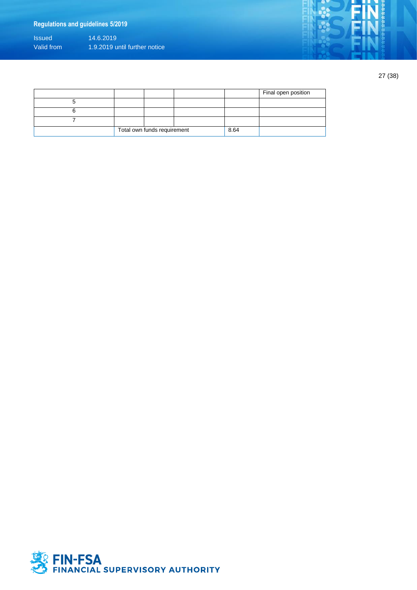## **Regulations and guidelines 5/2019**

Issued 14.6.2019 Valid from 1.9.2019 until further notice

27 (38)

|                             |  |      |  | Final open position |
|-----------------------------|--|------|--|---------------------|
|                             |  |      |  |                     |
|                             |  |      |  |                     |
|                             |  |      |  |                     |
| Total own funds requirement |  | 8.64 |  |                     |

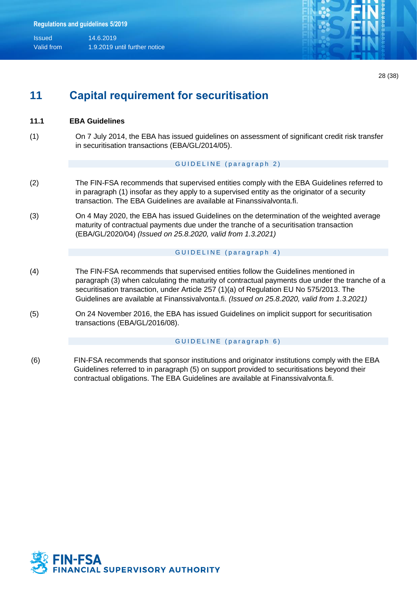

28 (38)

## **11 Capital requirement for securitisation**

### **11.1 EBA Guidelines**

(1) On 7 July 2014, the EBA has issued guidelines on assessment of significant credit risk transfer in securitisation transactions (EBA/GL/2014/05).

#### GUIDELINE (paragraph 2)

- (2) The FIN-FSA recommends that supervised entities comply with the EBA Guidelines referred to in paragraph (1) insofar as they apply to a supervised entity as the originator of a security transaction. The EBA Guidelines are available at Finanssivalvonta.fi.
- (3) On 4 May 2020, the EBA has issued Guidelines on the determination of the weighted average maturity of contractual payments due under the tranche of a securitisation transaction (EBA/GL/2020/04) *(Issued on 25.8.2020, valid from 1.3.2021)*

#### GUIDELINE (paragraph 4)

- (4) The FIN-FSA recommends that supervised entities follow the Guidelines mentioned in paragraph (3) when calculating the maturity of contractual payments due under the tranche of a securitisation transaction, under Article 257 (1)(a) of Regulation EU No 575/2013. The Guidelines are available at Finanssivalvonta.fi. *(Issued on 25.8.2020, valid from 1.3.2021)*
- (5) On 24 November 2016, the EBA has issued Guidelines on implicit support for securitisation transactions (EBA/GL/2016/08).

#### GUIDELINE (paragraph 6)

(6) FIN-FSA recommends that sponsor institutions and originator institutions comply with the EBA Guidelines referred to in paragraph (5) on support provided to securitisations beyond their contractual obligations. The EBA Guidelines are available at Finanssivalvonta.fi.

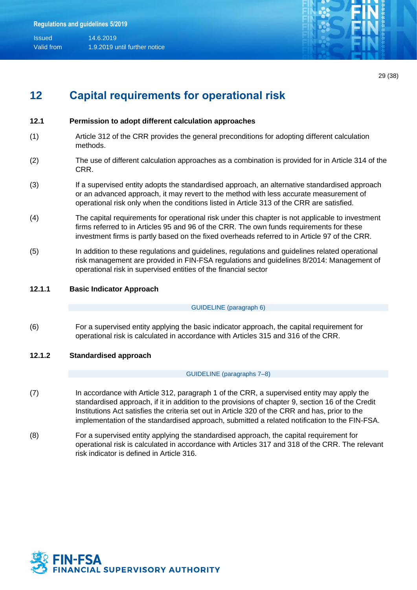

29 (38)

## **12 Capital requirements for operational risk**

### **12.1 Permission to adopt different calculation approaches**

- (1) Article 312 of the CRR provides the general preconditions for adopting different calculation methods.
- (2) The use of different calculation approaches as a combination is provided for in Article 314 of the CRR.
- (3) If a supervised entity adopts the standardised approach, an alternative standardised approach or an advanced approach, it may revert to the method with less accurate measurement of operational risk only when the conditions listed in Article 313 of the CRR are satisfied.
- (4) The capital requirements for operational risk under this chapter is not applicable to investment firms referred to in Articles 95 and 96 of the CRR. The own funds requirements for these investment firms is partly based on the fixed overheads referred to in Article 97 of the CRR.
- (5) In addition to these regulations and guidelines, regulations and guidelines related operational risk management are provided in FIN-FSA regulations and guidelines 8/2014: Management of operational risk in supervised entities of the financial sector

#### **12.1.1 Basic Indicator Approach**

GUIDELINE (paragraph 6)

- (6) For a supervised entity applying the basic indicator approach, the capital requirement for operational risk is calculated in accordance with Articles 315 and 316 of the CRR.
- **12.1.2 Standardised approach**

#### GUIDELINE (paragraphs 7–8)

- (7) In accordance with Article 312, paragraph 1 of the CRR, a supervised entity may apply the standardised approach, if it in addition to the provisions of chapter 9, section 16 of the Credit Institutions Act satisfies the criteria set out in Article 320 of the CRR and has, prior to the implementation of the standardised approach, submitted a related notification to the FIN-FSA.
- (8) For a supervised entity applying the standardised approach, the capital requirement for operational risk is calculated in accordance with Articles 317 and 318 of the CRR. The relevant risk indicator is defined in Article 316.

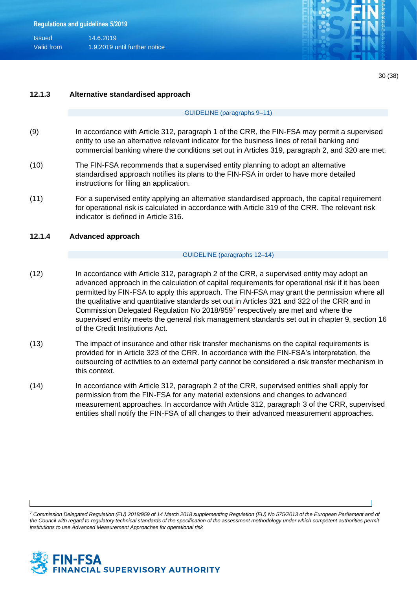

#### **12.1.3 Alternative standardised approach**

#### GUIDELINE (paragraphs 9–11)

- (9) In accordance with Article 312, paragraph 1 of the CRR, the FIN-FSA may permit a supervised entity to use an alternative relevant indicator for the business lines of retail banking and commercial banking where the conditions set out in Articles 319, paragraph 2, and 320 are met.
- (10) The FIN-FSA recommends that a supervised entity planning to adopt an alternative standardised approach notifies its plans to the FIN-FSA in order to have more detailed instructions for filing an application.
- (11) For a supervised entity applying an alternative standardised approach, the capital requirement for operational risk is calculated in accordance with Article 319 of the CRR. The relevant risk indicator is defined in Article 316.

#### **12.1.4 Advanced approach**

#### GUIDELINE (paragraphs 12–14)

- (12) In accordance with Article 312, paragraph 2 of the CRR, a supervised entity may adopt an advanced approach in the calculation of capital requirements for operational risk if it has been permitted by FIN-FSA to apply this approach. The FIN-FSA may grant the permission where all the qualitative and quantitative standards set out in Articles 321 and 322 of the CRR and in Commission Delegated Regulation No 2018/9597 respectively are met and where the supervised entity meets the general risk management standards set out in chapter 9, section 16 of the Credit Institutions Act.
- (13) The impact of insurance and other risk transfer mechanisms on the capital requirements is provided for in Article 323 of the CRR. In accordance with the FIN-FSA's interpretation, the outsourcing of activities to an external party cannot be considered a risk transfer mechanism in this context.
- (14) In accordance with Article 312, paragraph 2 of the CRR, supervised entities shall apply for permission from the FIN-FSA for any material extensions and changes to advanced measurement approaches. In accordance with Article 312, paragraph 3 of the CRR, supervised entities shall notify the FIN-FSA of all changes to their advanced measurement approaches.

*<sup>7</sup> Commission Delegated Regulation (EU) 2018/959 of 14 March 2018 supplementing Regulation (EU) No 575/2013 of the European Parliament and of*  the Council with regard to regulatory technical standards of the specification of the assessment methodology under which competent authorities permit *institutions to use Advanced Measurement Approaches for operational risk*

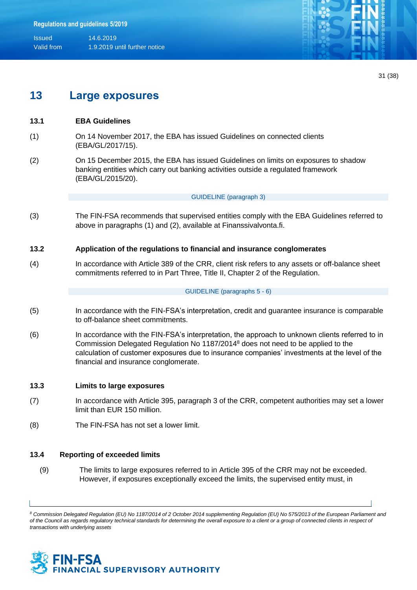

31 (38)

## **13 Large exposures**

### **13.1 EBA Guidelines**

- (1) On 14 November 2017, the EBA has issued Guidelines on connected clients (EBA/GL/2017/15).
- (2) On 15 December 2015, the EBA has issued Guidelines on limits on exposures to shadow banking entities which carry out banking activities outside a regulated framework (EBA/GL/2015/20).

#### GUIDELINE (paragraph 3)

(3) The FIN-FSA recommends that supervised entities comply with the EBA Guidelines referred to above in paragraphs (1) and (2), available at Finanssivalvonta.fi.

### **13.2 Application of the regulations to financial and insurance conglomerates**

(4) In accordance with Article 389 of the CRR, client risk refers to any assets or off-balance sheet commitments referred to in Part Three, Title II, Chapter 2 of the Regulation.

#### GUIDELINE (paragraphs 5 - 6)

- (5) In accordance with the FIN-FSA's interpretation, credit and guarantee insurance is comparable to off-balance sheet commitments.
- (6) In accordance with the FIN-FSA's interpretation, the approach to unknown clients referred to in Commission Delegated Regulation No 1187/2014<sup>8</sup> does not need to be applied to the calculation of customer exposures due to insurance companies' investments at the level of the financial and insurance conglomerate.

#### **13.3 Limits to large exposures**

- (7) In accordance with Article 395, paragraph 3 of the CRR, competent authorities may set a lower limit than EUR 150 million.
- (8) The FIN-FSA has not set a lower limit.

#### **13.4 Reporting of exceeded limits**

(9) The limits to large exposures referred to in Article 395 of the CRR may not be exceeded. However, if exposures exceptionally exceed the limits, the supervised entity must, in

*<sup>8</sup> Commission Delegated Regulation (EU) No 1187/2014 of 2 October 2014 supplementing Regulation (EU) No 575/2013 of the European Parliament and of the Council as regards regulatory technical standards for determining the overall exposure to a client or a group of connected clients in respect of transactions with underlying assets*

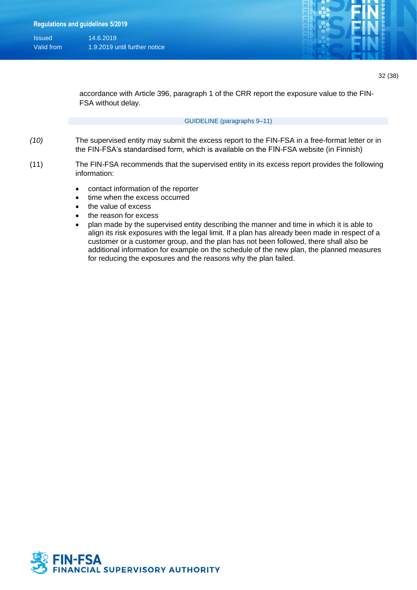

accordance with Article 396, paragraph 1 of the CRR report the exposure value to the FIN-FSA without delay.

#### GUIDELINE (paragraphs 9–11)

- *(10)* The supervised entity may submit the excess report to the FIN-FSA in a free-format letter or in the FIN-FSA's standardised form, which is available on the FIN-FSA website (in Finnish)
- (11) The FIN-FSA recommends that the supervised entity in its excess report provides the following information:
	- contact information of the reporter
	- time when the excess occurred
	- the value of excess
	- the reason for excess
	- plan made by the supervised entity describing the manner and time in which it is able to align its risk exposures with the legal limit. If a plan has already been made in respect of a customer or a customer group, and the plan has not been followed, there shall also be additional information for example on the schedule of the new plan, the planned measures for reducing the exposures and the reasons why the plan failed.

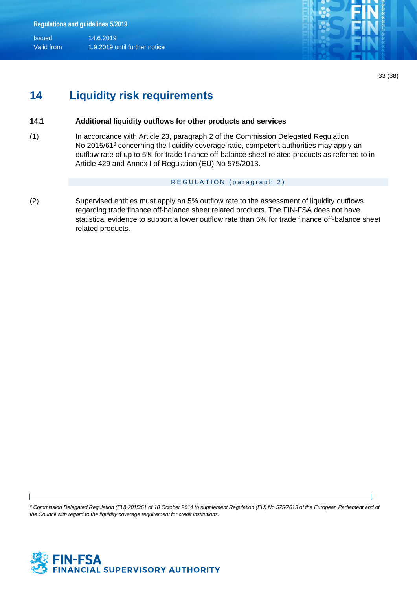

33 (38)

## **14 Liquidity risk requirements**

### **14.1 Additional liquidity outflows for other products and services**

(1) In accordance with Article 23, paragraph 2 of the Commission Delegated Regulation No 2015/61<sup>9</sup> concerning the liquidity coverage ratio, competent authorities may apply an outflow rate of up to 5% for trade finance off-balance sheet related products as referred to in Article 429 and Annex I of Regulation (EU) No 575/2013.

#### REGULATION (paragraph 2)

(2) Supervised entities must apply an 5% outflow rate to the assessment of liquidity outflows regarding trade finance off-balance sheet related products. The FIN-FSA does not have statistical evidence to support a lower outflow rate than 5% for trade finance off-balance sheet related products.

<sup>9</sup> Commission Delegated Regulation (EU) 2015/61 of 10 October 2014 to supplement Regulation (EU) No 575/2013 of the European Parliament and of *the Council with regard to the liquidity coverage requirement for credit institutions.*

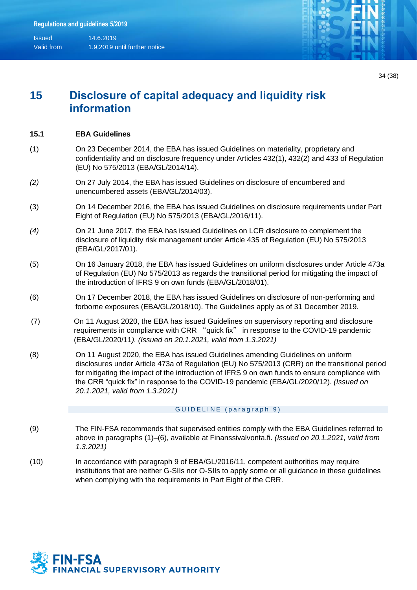

## **15 Disclosure of capital adequacy and liquidity risk information**

### **15.1 EBA Guidelines**

- (1) On 23 December 2014, the EBA has issued Guidelines on materiality, proprietary and confidentiality and on disclosure frequency under Articles 432(1), 432(2) and 433 of Regulation (EU) No 575/2013 (EBA/GL/2014/14).
- *(2)* On 27 July 2014, the EBA has issued Guidelines on disclosure of encumbered and unencumbered assets (EBA/GL/2014/03).
- (3) On 14 December 2016, the EBA has issued Guidelines on disclosure requirements under Part Eight of Regulation (EU) No 575/2013 (EBA/GL/2016/11).
- *(4)* On 21 June 2017, the EBA has issued Guidelines on LCR disclosure to complement the disclosure of liquidity risk management under Article 435 of Regulation (EU) No 575/2013 (EBA/GL/2017/01).
- (5) On 16 January 2018, the EBA has issued Guidelines on uniform disclosures under Article 473a of Regulation (EU) No 575/2013 as regards the transitional period for mitigating the impact of the introduction of IFRS 9 on own funds (EBA/GL/2018/01).
- (6) On 17 December 2018, the EBA has issued Guidelines on disclosure of non-performing and forborne exposures (EBA/GL/2018/10). The Guidelines apply as of 31 December 2019.
- (7) On 11 August 2020, the EBA has issued Guidelines on supervisory reporting and disclosure requirements in compliance with CRR "quick fix" in response to the COVID-19 pandemic (EBA/GL/2020/11*). (Issued on 20.1.2021, valid from 1.3.2021)*
- (8) On 11 August 2020, the EBA has issued Guidelines amending Guidelines on uniform disclosures under Article 473a of Regulation (EU) No 575/2013 (CRR) on the transitional period for mitigating the impact of the introduction of IFRS 9 on own funds to ensure compliance with the CRR "quick fix" in response to the COVID-19 pandemic (EBA/GL/2020/12). *(Issued on 20.1.2021, valid from 1.3.2021)*

#### GUIDELINE (paragraph 9)

- (9) The FIN-FSA recommends that supervised entities comply with the EBA Guidelines referred to above in paragraphs (1)–(6), available at Finanssivalvonta.fi. *(Issued on 20.1.2021, valid from 1.3.2021)*
- (10) In accordance with paragraph 9 of EBA/GL/2016/11, competent authorities may require institutions that are neither G-SIIs nor O-SIIs to apply some or all guidance in these guidelines when complying with the requirements in Part Eight of the CRR.

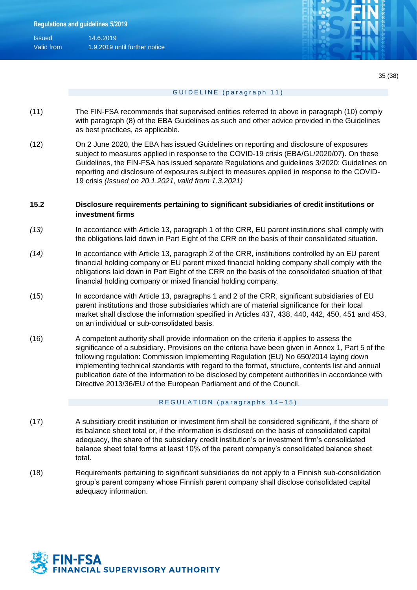| <b>Issued</b> | 14.6.2019                     |
|---------------|-------------------------------|
| Valid from    | 1.9.2019 until further notice |



#### GUIDELINE (paragraph 11)

- (11) The FIN-FSA recommends that supervised entities referred to above in paragraph (10) comply with paragraph (8) of the EBA Guidelines as such and other advice provided in the Guidelines as best practices, as applicable.
- (12) On 2 June 2020, the EBA has issued Guidelines on reporting and disclosure of exposures subject to measures applied in response to the COVID-19 crisis (EBA/GL/2020/07). On these Guidelines, the FIN-FSA has issued separate Regulations and guidelines 3/2020: Guidelines on reporting and disclosure of exposures subject to measures applied in response to the COVID-19 crisis *(Issued on 20.1.2021, valid from 1.3.2021)*

### **15.2 Disclosure requirements pertaining to significant subsidiaries of credit institutions or investment firms**

- *(13)* In accordance with Article 13, paragraph 1 of the CRR, EU parent institutions shall comply with the obligations laid down in Part Eight of the CRR on the basis of their consolidated situation.
- *(14)* In accordance with Article 13, paragraph 2 of the CRR, institutions controlled by an EU parent financial holding company or EU parent mixed financial holding company shall comply with the obligations laid down in Part Eight of the CRR on the basis of the consolidated situation of that financial holding company or mixed financial holding company.
- (15) In accordance with Article 13, paragraphs 1 and 2 of the CRR, significant subsidiaries of EU parent institutions and those subsidiaries which are of material significance for their local market shall disclose the information specified in Articles 437, 438, 440, 442, 450, 451 and 453, on an individual or sub-consolidated basis.
- (16) A competent authority shall provide information on the criteria it applies to assess the significance of a subsidiary. Provisions on the criteria have been given in Annex 1, Part 5 of the following regulation: Commission Implementing Regulation (EU) No 650/2014 laying down implementing technical standards with regard to the format, structure, contents list and annual publication date of the information to be disclosed by competent authorities in accordance with Directive 2013/36/EU of the European Parliament and of the Council.

#### REGULATION (paragraphs 14-15)

- (17) A subsidiary credit institution or investment firm shall be considered significant, if the share of its balance sheet total or, if the information is disclosed on the basis of consolidated capital adequacy, the share of the subsidiary credit institution's or investment firm's consolidated balance sheet total forms at least 10% of the parent company's consolidated balance sheet total.
- (18) Requirements pertaining to significant subsidiaries do not apply to a Finnish sub-consolidation group's parent company whose Finnish parent company shall disclose consolidated capital adequacy information.

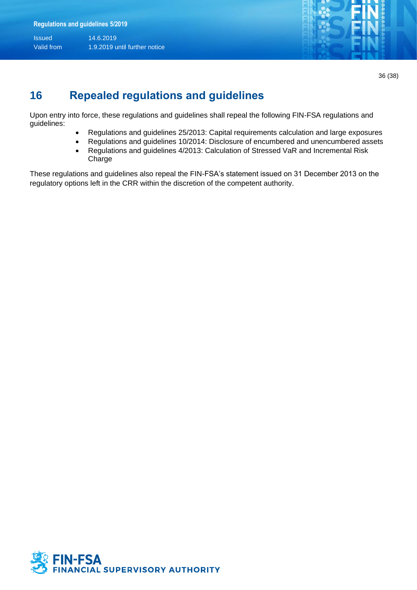

36 (38)

## **16 Repealed regulations and guidelines**

Upon entry into force, these regulations and guidelines shall repeal the following FIN-FSA regulations and guidelines:

- Regulations and guidelines 25/2013: Capital requirements calculation and large exposures
- Regulations and guidelines 10/2014: Disclosure of encumbered and unencumbered assets
- Regulations and guidelines 4/2013: Calculation of Stressed VaR and Incremental Risk Charge

These regulations and guidelines also repeal the FIN-FSA's statement issued on 31 December 2013 on the regulatory options left in the CRR within the discretion of the competent authority.

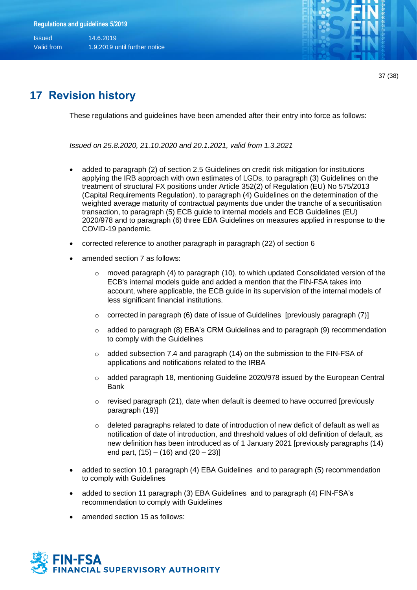

37 (38)

## **17 Revision history**

These regulations and guidelines have been amended after their entry into force as follows:

*Issued on 25.8.2020, 21.10.2020 and 20.1.2021, valid from 1.3.2021*

- added to paragraph (2) of section 2.5 Guidelines on credit risk mitigation for institutions applying the IRB approach with own estimates of LGDs, to paragraph (3) Guidelines on the treatment of structural FX positions under Article 352(2) of Regulation (EU) No 575/2013 (Capital Requirements Regulation), to paragraph (4) Guidelines on the determination of the weighted average maturity of contractual payments due under the tranche of a securitisation transaction, to paragraph (5) ECB guide to internal models and ECB Guidelines (EU) 2020/978 and to paragraph (6) three EBA Guidelines on measures applied in response to the COVID-19 pandemic.
- corrected reference to another paragraph in paragraph (22) of section 6
- amended section 7 as follows:
	- $\circ$  moved paragraph (4) to paragraph (10), to which updated Consolidated version of the ECB's internal models guide and added a mention that the FIN-FSA takes into account, where applicable, the ECB guide in its supervision of the internal models of less significant financial institutions.
	- $\circ$  corrected in paragraph (6) date of issue of Guidelines [previously paragraph (7)]
	- o added to paragraph (8) EBA's CRM Guidelines and to paragraph (9) recommendation to comply with the Guidelines
	- $\circ$  added subsection 7.4 and paragraph (14) on the submission to the FIN-FSA of applications and notifications related to the IRBA
	- $\circ$  added paragraph 18, mentioning Guideline 2020/978 issued by the European Central Bank
	- $\circ$  revised paragraph (21), date when default is deemed to have occurred [previously paragraph (19)]
	- $\circ$  deleted paragraphs related to date of introduction of new deficit of default as well as notification of date of introduction, and threshold values of old definition of default, as new definition has been introduced as of 1 January 2021 [previously paragraphs (14) end part,  $(15) - (16)$  and  $(20 - 23)$ ]
- added to section 10.1 paragraph (4) EBA Guidelines and to paragraph (5) recommendation to comply with Guidelines
- added to section 11 paragraph (3) EBA Guidelines and to paragraph (4) FIN-FSA's recommendation to comply with Guidelines
- amended section 15 as follows: